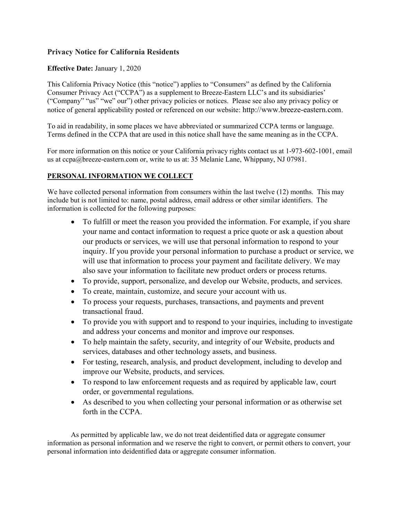# Privacy Notice for California Residents

# Effective Date: January 1, 2020

This California Privacy Notice (this "notice") applies to "Consumers" as defined by the California Consumer Privacy Act ("CCPA") as a supplement to Breeze-Eastern LLC's and its subsidiaries' ("Company" "us" "we" our") other privacy policies or notices. Please see also any privacy policy or notice of general applicability posted or referenced on our website: http://www.breeze-eastern.com.

To aid in readability, in some places we have abbreviated or summarized CCPA terms or language. Terms defined in the CCPA that are used in this notice shall have the same meaning as in the CCPA.

For more information on this notice or your California privacy rights contact us at 1-973-602-1001, email us at ccpa@breeze-eastern.com or, write to us at: 35 Melanie Lane, Whippany, NJ 07981.

## PERSONAL INFORMATION WE COLLECT

We have collected personal information from consumers within the last twelve (12) months. This may include but is not limited to: name, postal address, email address or other similar identifiers. The information is collected for the following purposes:

- To fulfill or meet the reason you provided the information. For example, if you share your name and contact information to request a price quote or ask a question about our products or services, we will use that personal information to respond to your inquiry. If you provide your personal information to purchase a product or service, we will use that information to process your payment and facilitate delivery. We may also save your information to facilitate new product orders or process returns.
- To provide, support, personalize, and develop our Website, products, and services.
- To create, maintain, customize, and secure your account with us.
- To process your requests, purchases, transactions, and payments and prevent transactional fraud.
- To provide you with support and to respond to your inquiries, including to investigate and address your concerns and monitor and improve our responses.
- To help maintain the safety, security, and integrity of our Website, products and services, databases and other technology assets, and business.
- For testing, research, analysis, and product development, including to develop and improve our Website, products, and services.
- To respond to law enforcement requests and as required by applicable law, court order, or governmental regulations.
- As described to you when collecting your personal information or as otherwise set forth in the CCPA.

As permitted by applicable law, we do not treat deidentified data or aggregate consumer information as personal information and we reserve the right to convert, or permit others to convert, your personal information into deidentified data or aggregate consumer information.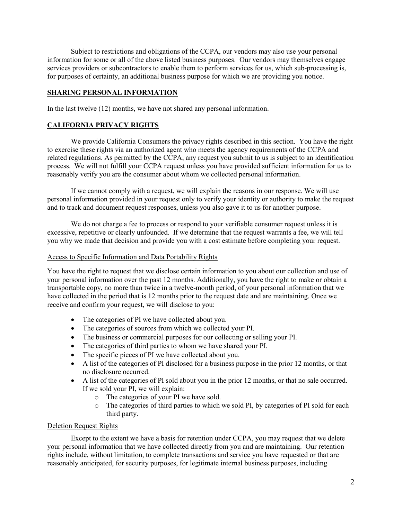Subject to restrictions and obligations of the CCPA, our vendors may also use your personal information for some or all of the above listed business purposes. Our vendors may themselves engage services providers or subcontractors to enable them to perform services for us, which sub-processing is, for purposes of certainty, an additional business purpose for which we are providing you notice.

# SHARING PERSONAL INFORMATION

In the last twelve (12) months, we have not shared any personal information.

## CALIFORNIA PRIVACY RIGHTS

We provide California Consumers the privacy rights described in this section. You have the right to exercise these rights via an authorized agent who meets the agency requirements of the CCPA and related regulations. As permitted by the CCPA, any request you submit to us is subject to an identification process. We will not fulfill your CCPA request unless you have provided sufficient information for us to reasonably verify you are the consumer about whom we collected personal information.

If we cannot comply with a request, we will explain the reasons in our response. We will use personal information provided in your request only to verify your identity or authority to make the request and to track and document request responses, unless you also gave it to us for another purpose.

We do not charge a fee to process or respond to your verifiable consumer request unless it is excessive, repetitive or clearly unfounded. If we determine that the request warrants a fee, we will tell you why we made that decision and provide you with a cost estimate before completing your request.

#### Access to Specific Information and Data Portability Rights

You have the right to request that we disclose certain information to you about our collection and use of your personal information over the past 12 months. Additionally, you have the right to make or obtain a transportable copy, no more than twice in a twelve-month period, of your personal information that we have collected in the period that is 12 months prior to the request date and are maintaining. Once we receive and confirm your request, we will disclose to you:

- The categories of PI we have collected about you.
- The categories of sources from which we collected your PI.
- The business or commercial purposes for our collecting or selling your PI.
- The categories of third parties to whom we have shared your PI.
- The specific pieces of PI we have collected about you.
- A list of the categories of PI disclosed for a business purpose in the prior 12 months, or that no disclosure occurred.
- A list of the categories of PI sold about you in the prior 12 months, or that no sale occurred. If we sold your PI, we will explain:
	- o The categories of your PI we have sold.
	- o The categories of third parties to which we sold PI, by categories of PI sold for each third party.

### Deletion Request Rights

Except to the extent we have a basis for retention under CCPA, you may request that we delete your personal information that we have collected directly from you and are maintaining. Our retention rights include, without limitation, to complete transactions and service you have requested or that are reasonably anticipated, for security purposes, for legitimate internal business purposes, including